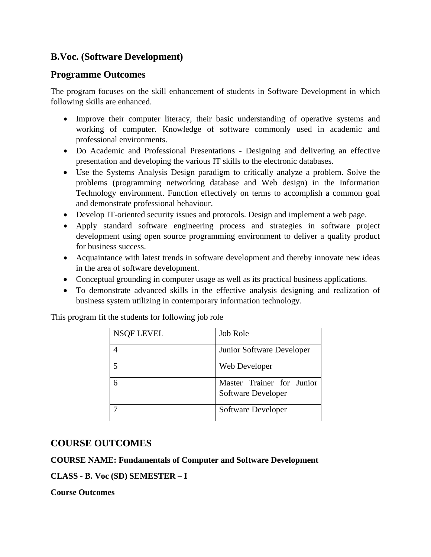# **B.Voc. (Software Development)**

# **Programme Outcomes**

The program focuses on the skill enhancement of students in Software Development in which following skills are enhanced.

- Improve their computer literacy, their basic understanding of operative systems and working of computer. Knowledge of software commonly used in academic and professional environments.
- Do Academic and Professional Presentations Designing and delivering an effective presentation and developing the various IT skills to the electronic databases.
- Use the Systems Analysis Design paradigm to critically analyze a problem. Solve the problems (programming networking database and Web design) in the Information Technology environment. Function effectively on terms to accomplish a common goal and demonstrate professional behaviour.
- Develop IT-oriented security issues and protocols. Design and implement a web page.
- Apply standard software engineering process and strategies in software project development using open source programming environment to deliver a quality product for business success.
- Acquaintance with latest trends in software development and thereby innovate new ideas in the area of software development.
- Conceptual grounding in computer usage as well as its practical business applications.
- To demonstrate advanced skills in the effective analysis designing and realization of business system utilizing in contemporary information technology.

This program fit the students for following job role

| NSQF LEVEL | <b>Job Role</b>                                        |
|------------|--------------------------------------------------------|
|            | Junior Software Developer                              |
|            | Web Developer                                          |
|            | Master Trainer for Junior<br><b>Software Developer</b> |
|            | Software Developer                                     |

## **COURSE OUTCOMES**

#### **COURSE NAME: Fundamentals of Computer and Software Development**

## **CLASS - B. Voc (SD) SEMESTER – I**

**Course Outcomes**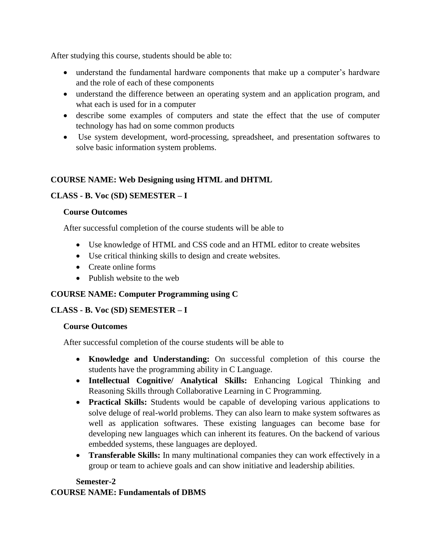After studying this course, students should be able to:

- understand the fundamental hardware components that make up a computer's hardware and the role of each of these components
- understand the difference between an operating system and an application program, and what each is used for in a computer
- describe some examples of computers and state the effect that the use of computer technology has had on some common products
- Use system development, word-processing, spreadsheet, and presentation softwares to solve basic information system problems.

#### **COURSE NAME: Web Designing using HTML and DHTML**

#### **CLASS - B. Voc (SD) SEMESTER – I**

#### **Course Outcomes**

After successful completion of the course students will be able to

- Use knowledge of HTML and CSS code and an HTML editor to create websites
- Use critical thinking skills to design and create websites.
- Create online forms
- Publish website to the web

#### **COURSE NAME: Computer Programming using C**

#### **CLASS - B. Voc (SD) SEMESTER – I**

#### **Course Outcomes**

After successful completion of the course students will be able to

- **Knowledge and Understanding:** On successful completion of this course the students have the programming ability in C Language.
- **Intellectual Cognitive/ Analytical Skills:** Enhancing Logical Thinking and Reasoning Skills through Collaborative Learning in C Programming.
- **Practical Skills:** Students would be capable of developing various applications to solve deluge of real-world problems. They can also learn to make system softwares as well as application softwares. These existing languages can become base for developing new languages which can inherent its features. On the backend of various embedded systems, these languages are deployed.
- **Transferable Skills:** In many multinational companies they can work effectively in a group or team to achieve goals and can show initiative and leadership abilities.

#### **Semester-2**

#### **COURSE NAME: Fundamentals of DBMS**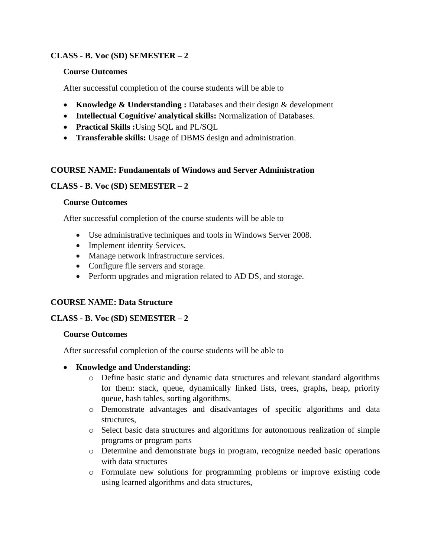#### **CLASS - B. Voc (SD) SEMESTER – 2**

#### **Course Outcomes**

After successful completion of the course students will be able to

- **Knowledge & Understanding :** Databases and their design & development
- **Intellectual Cognitive/ analytical skills:** Normalization of Databases.
- **Practical Skills :**Using SQL and PL/SQL
- **Transferable skills:** Usage of DBMS design and administration.

#### **COURSE NAME: Fundamentals of Windows and Server Administration**

### **CLASS - B. Voc (SD) SEMESTER – 2**

#### **Course Outcomes**

After successful completion of the course students will be able to

- Use administrative techniques and tools in Windows Server 2008.
- Implement identity Services.
- Manage network infrastructure services.
- Configure file servers and storage.
- Perform upgrades and migration related to AD DS, and storage.

#### **COURSE NAME: Data Structure**

#### **CLASS - B. Voc (SD) SEMESTER – 2**

#### **Course Outcomes**

After successful completion of the course students will be able to

#### • **Knowledge and Understanding:**

- o Define basic static and dynamic data structures and relevant standard algorithms for them: stack, queue, dynamically linked lists, trees, graphs, heap, priority queue, hash tables, sorting algorithms.
- o Demonstrate advantages and disadvantages of specific algorithms and data structures,
- o Select basic data structures and algorithms for autonomous realization of simple programs or program parts
- o Determine and demonstrate bugs in program, recognize needed basic operations with data structures
- o Formulate new solutions for programming problems or improve existing code using learned algorithms and data structures,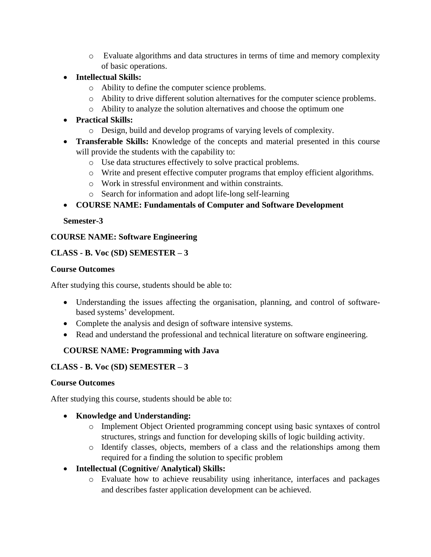- o Evaluate algorithms and data structures in terms of time and memory complexity of basic operations.
- **Intellectual Skills:** 
	- o Ability to define the computer science problems.
	- o Ability to drive different solution alternatives for the computer science problems.
	- o Ability to analyze the solution alternatives and choose the optimum one
- **Practical Skills:**
	- o Design, build and develop programs of varying levels of complexity.
- **Transferable Skills:** Knowledge of the concepts and material presented in this course will provide the students with the capability to:
	- o Use data structures effectively to solve practical problems.
	- o Write and present effective computer programs that employ efficient algorithms.
	- o Work in stressful environment and within constraints.
	- o Search for information and adopt life-long self-learning

• **COURSE NAME: Fundamentals of Computer and Software Development**

### **Semester-3**

## **COURSE NAME: Software Engineering**

### **CLASS - B. Voc (SD) SEMESTER – 3**

### **Course Outcomes**

After studying this course, students should be able to:

- Understanding the issues affecting the organisation, planning, and control of softwarebased systems' development.
- Complete the analysis and design of software intensive systems.
- Read and understand the professional and technical literature on software engineering.

## **COURSE NAME: Programming with Java**

## **CLASS - B. Voc (SD) SEMESTER – 3**

#### **Course Outcomes**

After studying this course, students should be able to:

## • **Knowledge and Understanding:**

- o Implement Object Oriented programming concept using basic syntaxes of control structures, strings and function for developing skills of logic building activity.
- o Identify classes, objects, members of a class and the relationships among them required for a finding the solution to specific problem
- **Intellectual (Cognitive/ Analytical) Skills:**
	- o Evaluate how to achieve reusability using inheritance, interfaces and packages and describes faster application development can be achieved.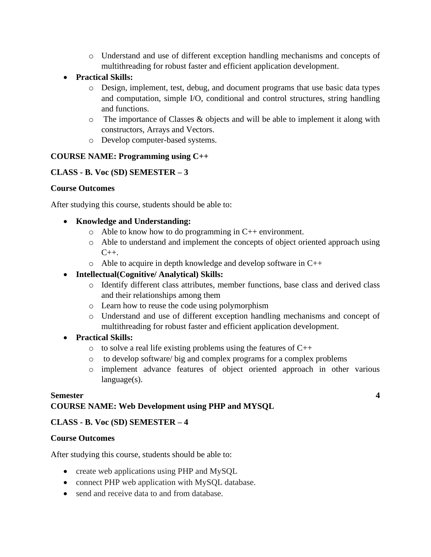- o Understand and use of different exception handling mechanisms and concepts of multithreading for robust faster and efficient application development.
- **Practical Skills:**
	- o Design, implement, test, debug, and document programs that use basic data types and computation, simple I/O, conditional and control structures, string handling and functions.
	- o The importance of Classes & objects and will be able to implement it along with constructors, Arrays and Vectors.
	- o Develop computer-based systems.

### **COURSE NAME: Programming using C++**

### **CLASS - B. Voc (SD) SEMESTER – 3**

#### **Course Outcomes**

After studying this course, students should be able to:

#### • **Knowledge and Understanding:**

- o Able to know how to do programming in C++ environment.
- o Able to understand and implement the concepts of object oriented approach using  $C_{++}$ .
- o Able to acquire in depth knowledge and develop software in C++

## • **Intellectual(Cognitive/ Analytical) Skills:**

- o Identify different class attributes, member functions, base class and derived class and their relationships among them
- o Learn how to reuse the code using polymorphism
- o Understand and use of different exception handling mechanisms and concept of multithreading for robust faster and efficient application development.

## • **Practical Skills:**

- $\circ$  to solve a real life existing problems using the features of C++
- o to develop software/ big and complex programs for a complex problems
- o implement advance features of object oriented approach in other various language(s).

#### **Semester 4**

## **COURSE NAME: Web Development using PHP and MYSQL**

## **CLASS - B. Voc (SD) SEMESTER – 4**

#### **Course Outcomes**

After studying this course, students should be able to:

- create web applications using PHP and MySQL
- connect PHP web application with MySQL database.
- send and receive data to and from database.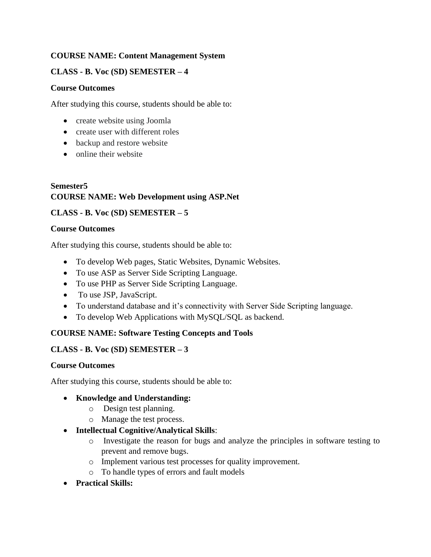## **COURSE NAME: Content Management System**

### **CLASS - B. Voc (SD) SEMESTER – 4**

#### **Course Outcomes**

After studying this course, students should be able to:

- create website using Joomla
- create user with different roles
- backup and restore website
- online their website

### **Semester5 COURSE NAME: Web Development using ASP.Net**

### **CLASS - B. Voc (SD) SEMESTER – 5**

#### **Course Outcomes**

After studying this course, students should be able to:

- To develop Web pages, Static Websites, Dynamic Websites.
- To use ASP as Server Side Scripting Language.
- To use PHP as Server Side Scripting Language.
- To use JSP, JavaScript.
- To understand database and it's connectivity with Server Side Scripting language.
- To develop Web Applications with MySQL/SQL as backend.

## **COURSE NAME: Software Testing Concepts and Tools**

#### **CLASS - B. Voc (SD) SEMESTER – 3**

#### **Course Outcomes**

After studying this course, students should be able to:

#### • **Knowledge and Understanding:**

- o Design test planning.
- o Manage the test process.
- **Intellectual Cognitive/Analytical Skills**:
	- o Investigate the reason for bugs and analyze the principles in software testing to prevent and remove bugs.
	- o Implement various test processes for quality improvement.
	- o To handle types of errors and fault models
- **Practical Skills:**